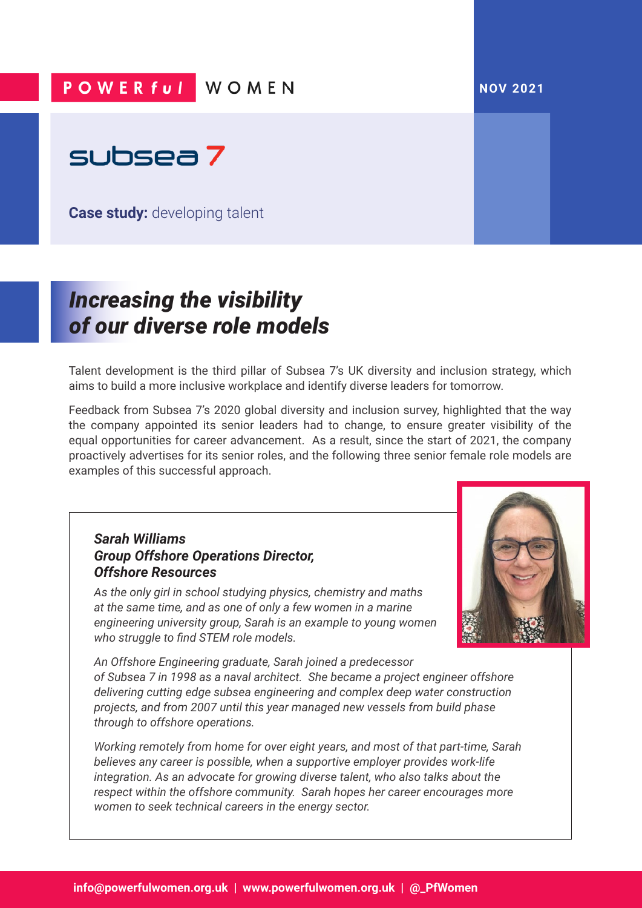## POWER ful WOMEN

#### **NOV 2021**



**Case study:** developing talent

# *Increasing the visibility of our diverse role models*

Talent development is the third pillar of Subsea 7's UK diversity and inclusion strategy, which aims to build a more inclusive workplace and identify diverse leaders for tomorrow.

Feedback from Subsea 7's 2020 global diversity and inclusion survey, highlighted that the way the company appointed its senior leaders had to change, to ensure greater visibility of the equal opportunities for career advancement. As a result, since the start of 2021, the company proactively advertises for its senior roles, and the following three senior female role models are examples of this successful approach.

### *Sarah Williams Group Offshore Operations Director, Offshore Resources*

*As the only girl in school studying physics, chemistry and maths at the same time, and as one of only a few women in a marine engineering university group, Sarah is an example to young women who struggle to find STEM role models.* 



*An Offshore Engineering graduate, Sarah joined a predecessor of Subsea 7 in 1998 as a naval architect. She became a project engineer offshore delivering cutting edge subsea engineering and complex deep water construction projects, and from 2007 until this year managed new vessels from build phase through to offshore operations.* 

*Working remotely from home for over eight years, and most of that part-time, Sarah believes any career is possible, when a supportive employer provides work-life integration. As an advocate for growing diverse talent, who also talks about the respect within the offshore community. Sarah hopes her career encourages more women to seek technical careers in the energy sector.*